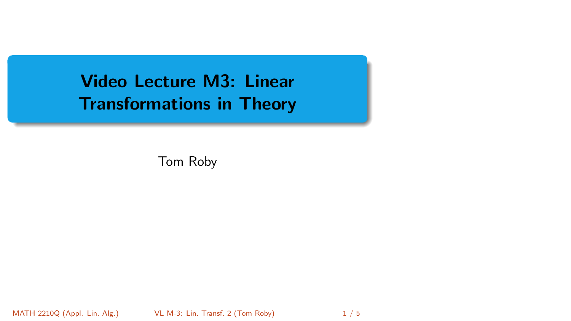<span id="page-0-0"></span>Video Lecture M3: Linear Transformations in Theory

Tom Roby

MATH 2210Q (Appl. Lin. Alg.) [VL M-3: Lin. Transf. 2](#page-4-0) (Tom Roby) 1 / 5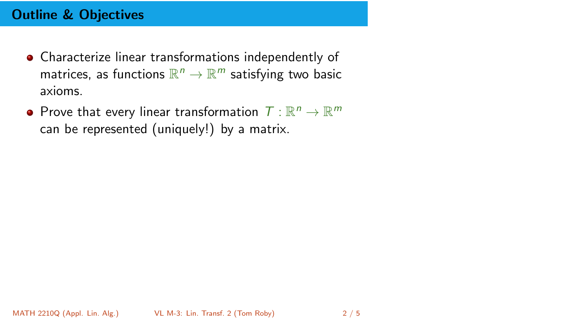# Outline & Objectives

- Characterize linear transformations independently of matrices, as functions  $\mathbb{R}^n \to \mathbb{R}^m$  satisfying two basic axioms.
- Prove that every linear transformation  $T: \mathbb{R}^n \to \mathbb{R}^m$ can be represented (uniquely!) by a matrix.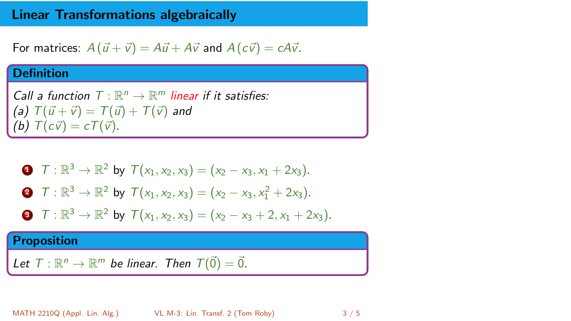### Linear Transformations algebraically

For matrices:  $A(\vec{u} + \vec{v}) = A\vec{u} + A\vec{v}$  and  $A(c\vec{v}) = cA\vec{v}$ .

### **Definition**

Call a function  $T: \mathbb{R}^n \to \mathbb{R}^m$  linear if it satisfies: (a)  $T(\vec{u} + \vec{v}) = T(\vec{u}) + T(\vec{v})$  and (b)  $T(c\vec{v}) = cT(\vec{v}).$ 

• 
$$
T: \mathbb{R}^3 \to \mathbb{R}^2
$$
 by  $T(x_1, x_2, x_3) = (x_2 - x_3, x_1 + 2x_3)$ .

• 
$$
T: \mathbb{R}^3 \to \mathbb{R}^2
$$
 by  $T(x_1, x_2, x_3) = (x_2 - x_3, x_1^2 + 2x_3)$ .

**④** 
$$
T : \mathbb{R}^3 \to \mathbb{R}^2
$$
 by  $T(x_1, x_2, x_3) = (x_2 - x_3 + 2, x_1 + 2x_3).$ 

#### Proposition

Let  $T: \mathbb{R}^n \to \mathbb{R}^m$  be linear. Then  $T(\vec{0}) = \vec{0}$ .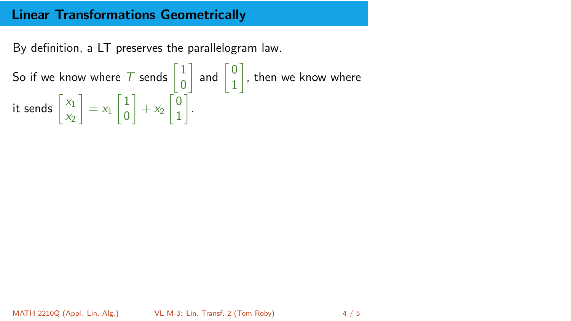### Linear Transformations Geometrically

By definition, a LT preserves the parallelogram law.

So if we know where  $T$  sends  $\begin{bmatrix} 1 \\ 0 \end{bmatrix}$ 0  $\begin{bmatrix} 0 \\ 1 \end{bmatrix}$ 1  $\big]$ , then we know where it sends  $\begin{bmatrix} x_1 \\ y_1 \end{bmatrix}$  $x_2$  $\Big] = x_1 \begin{bmatrix} 1 \\ 0 \end{bmatrix}$ 0  $+ x_2 \begin{bmatrix} 0 \\ 1 \end{bmatrix}$ 1 .